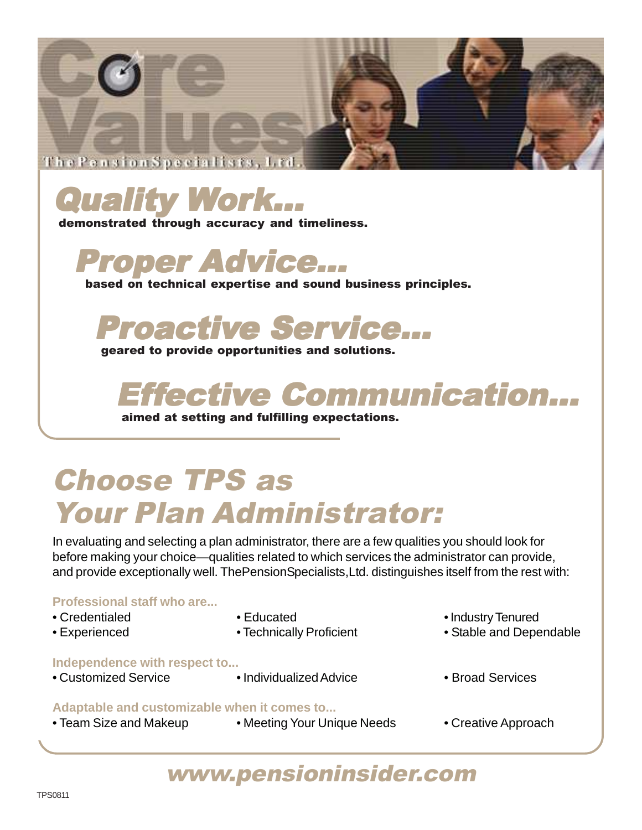



demonstrated through accuracy and timeliness.



based on technical expertise and sound business principles.

Proactive Service...

geared to provide opportunities and solutions.

# etive Communication...

aimed at setting and fulfilling expectations.

## Choose TPS as Your Plan Administrator:

In evaluating and selecting a plan administrator, there are a few qualities you should look for before making your choice—qualities related to which services the administrator can provide, and provide exceptionally well. ThePensionSpecialists,Ltd. distinguishes itself from the rest with:

### **Professional staff who are...**

- 
- 
- 
- 

### **Independence with respect to...**

- 
- 
- 
- Credentialed **Educated Industry Tenured**
- Experienced Technically Proficient Stable and Dependable
- 
- Customized Service Individualized Advice Proad Services
- 

### **Adaptable and customizable when it comes to...**

- Team Size and Makeup Meeting Your Unique Needs Creative Approach
- 
- 

### www.pensioninsider.com